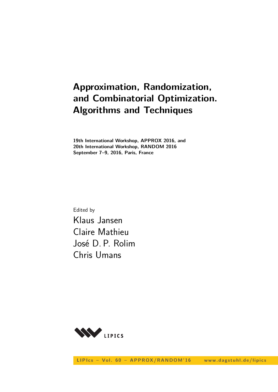# **Approximation, Randomization, and Combinatorial Optimization. Algorithms and Techniques**

**19th International Workshop, APPROX 2016, and 20th International Workshop, RANDOM 2016 September 7–9, 2016, Paris, France**

Edited by Klaus Jansen Claire Mathieu José D. P. Rolim Chris Umans

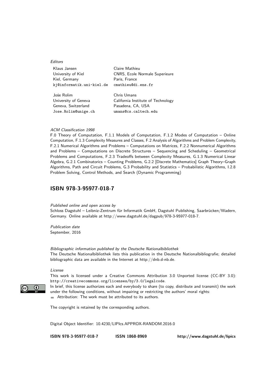| Editors                   |                                       |
|---------------------------|---------------------------------------|
| Klaus Jansen              | Claire Mathieu                        |
| University of Kiel        | <b>CNRS, Ecole Normale Superieure</b> |
| Kiel, Germany             | Paris, France                         |
| kj@informatik.uni-kiel.de | cmathieu@di.ens.fr                    |
| Jośe Rolim                | Chris Umans                           |
| University of Geneva      | California Institute of Technology    |
| Geneva, Switzerland       | Pasadena, CA, USA                     |
| Jose.Rolim@unige.ch       | umans@cs.caltech.edu                  |

#### ACM Classification 1998

F.0 Theory of Computation, F.1.1 Models of Computation, F.1.2 Modes of Computation – Online Computation, F.1.3 Complexity Measures and Classes, F.2 Analysis of Algorithms and Problem Complexity, F.2.1 Numerical Algorithms and Problems – Computations on Matrices, F.2.2 Nonnumerical Algorithms and Problems – Computations on Discrete Structures – Sequencing and Scheduling – Geometrical Problems and Computations, F.2.3 Tradeoffs between Complexity Measures, G.1.3 Numerical Linear Algebra, G.2.1 Combinatorics – Counting Problems, G.2.2 [Discrete Mathematics] Graph Theory–Graph Algorithms, Path and Circuit Problems, G.3 Probability and Statistics – Probabilistic Algorithms, I.2.8 Problem Solving, Control Methods, and Search (Dynamic Programming)

### **[ISBN 978-3-95977-018-7](http://www.dagstuhl.de/dagpub/978-3-95977-018-7)**

Published online and open access by

Schloss Dagstuhl – Leibniz-Zentrum für Informatik GmbH, Dagstuhl Publishing, Saarbrücken/Wadern, Germany. Online available at [http://www.dagstuhl.de/dagpub/978-3-95977-018-7.](http://www.dagstuhl.de/dagpub/978-3-95977-018-7)

Publication date September, 2016

Bibliographic information published by the Deutsche Nationalbibliothek The Deutsche Nationalbibliothek lists this publication in the Deutsche Nationalbibliografie; detailed bibliographic data are available in the Internet at [http://dnb.d-nb.de.](http://dnb.d-nb.de)

License

This work is licensed under a Creative Commons Attribution 3.0 Unported license (CC-BY 3.0): http://creativecommons.org/licenses/by/3.0/legalcode.

In brief, this license authorizes each and everybody to share (to copy, distribute and transmit) the work under the following conditions, without impairing or restricting the authors' moral rights:

Attribution: The work must be attributed to its authors.

The copyright is retained by the corresponding authors.

Digital Object Identifier: [10.4230/LIPIcs.APPROX-RANDOM.2016.0](http://dx.doi.org/10.4230/LIPIcs.APPROX-RANDOM.2016.0)

**[ISBN 978-3-95977-018-7](http://www.dagstuhl.de/dagpub/978-3-95977-018-7) [ISSN 1868-8969](http://drops.dagstuhl.de/lipics)<http://www.dagstuhl.de/lipics>**

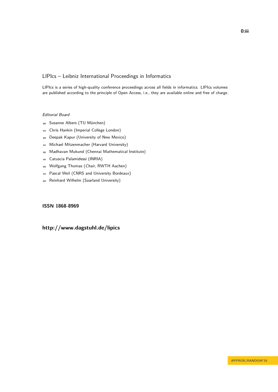### LIPIcs – Leibniz International Proceedings in Informatics

LIPIcs is a series of high-quality conference proceedings across all fields in informatics. LIPIcs volumes are published according to the principle of Open Access, i.e., they are available online and free of charge.

#### Editorial Board

- Susanne Albers (TU München)
- Chris Hankin (Imperial College London)  $\equiv$
- Deepak Kapur (University of New Mexico)  $\equiv$
- Michael Mitzenmacher (Harvard University)  $\equiv$
- Madhavan Mukund (Chennai Mathematical Institute)  $\sim$
- Catuscia Palamidessi (INRIA)  $\equiv$
- Wolfgang Thomas (Chair, RWTH Aachen)  $\blacksquare$
- Pascal Weil (CNRS and University Bordeaux)  $\blacksquare$
- Reinhard Wilhelm (Saarland University)  $\blacksquare$

### **[ISSN 1868-8969](http://www.dagstuhl.de/dagpub/1868-8969)**

### **<http://www.dagstuhl.de/lipics>**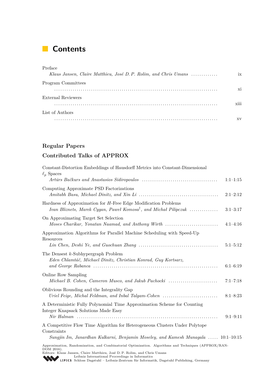# **Contents**

| Preface                                                          |                  |
|------------------------------------------------------------------|------------------|
| Klaus Jansen, Claire Matthieu, José D. P. Rolim, and Chris Umans | ix               |
| Program Committees                                               |                  |
|                                                                  | xi               |
| External Reviewers                                               |                  |
|                                                                  | $\cdots$<br>X111 |
| List of Authors                                                  |                  |
|                                                                  | хv               |

### **Regular Papers**

### **Contributed Talks of APPROX**

| Constant-Distortion Embeddings of Hausdorff Metrics into Constant-Dimensional<br>$\ell_p$ Spaces                                                                                                                                                    | $1:1-1:15$   |
|-----------------------------------------------------------------------------------------------------------------------------------------------------------------------------------------------------------------------------------------------------|--------------|
| Computing Approximate PSD Factorizations                                                                                                                                                                                                            |              |
|                                                                                                                                                                                                                                                     | $2:1-2:12$   |
| Hardness of Approximation for H-Free Edge Modification Problems<br>Ivan Bliznets, Marek Cygan, Paweł Komosa <sup>†</sup> , and Michał Pilipczuk                                                                                                     | $3:1-3:17$   |
| On Approximating Target Set Selection<br>Moses Charikar, Yonatan Naamad, and Anthony Wirth                                                                                                                                                          | $4:1-4:16$   |
| Approximation Algorithms for Parallel Machine Scheduling with Speed-Up<br>Resources                                                                                                                                                                 |              |
|                                                                                                                                                                                                                                                     | $5:1-5:12$   |
| The Densest $k$ -Subhypergraph Problem<br>Eden Chlamtáč, Michael Dinitz, Christian Konrad, Guy Kortsarz,                                                                                                                                            | $6:1-6:19$   |
| Online Row Sampling<br>Michael B. Cohen, Cameron Musco, and Jakub Pachocki                                                                                                                                                                          | $7:1 - 7:18$ |
| Oblivious Rounding and the Integrality Gap<br>Uriel Feige, Michal Feldman, and Inbal Talgam-Cohen                                                                                                                                                   | $8:1 - 8:23$ |
| A Deterministic Fully Polynomial Time Approximation Scheme for Counting<br>Integer Knapsack Solutions Made Easy                                                                                                                                     | $9:1-9:11$   |
| A Competitive Flow Time Algorithm for Heterogeneous Clusters Under Polytope<br>Constraints                                                                                                                                                          |              |
| Sungjin Im, Janardhan Kulkarni, Benjamin Moseley, and Kamesh Munagala  10:1–10:15                                                                                                                                                                   |              |
| Approximation, Randomization, and Combinatorial Optimization. Algorithms and Techniques (APPROX/RAN-<br>DOM 2016).<br>Editors: Klaus Jansen, Claire Matthieu, José D. P. Rolim, and Chris Umans<br>Loibniz International Preceedings in Informatics |              |

[Leibniz International Proceedings in Informatics](http://www.dagstuhl.de/en/publications/lipics/) [Schloss Dagstuhl – Leibniz-Zentrum für Informatik, Dagstuhl Publishing, Germany](http://www.dagstuhl.de/en/about-dagstuhl/)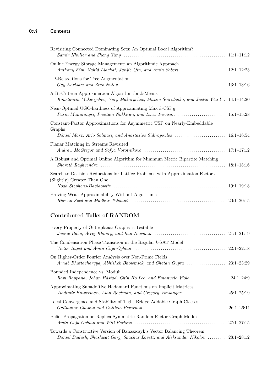| Revisiting Connected Dominating Sets: An Optimal Local Algorithm?                                                                                      |  |
|--------------------------------------------------------------------------------------------------------------------------------------------------------|--|
| Online Energy Storage Management: an Algorithmic Approach<br>Anthony Kim, Vahid Liaghat, Junjie Qin, and Amin Saberi  12:1-12:23                       |  |
| LP-Relaxations for Tree Augmentation                                                                                                                   |  |
| A Bi-Criteria Approximation Algorithm for k-Means<br>Konstantin Makarychev, Yury Makarychev, Maxim Sviridenko, and Justin Ward . 14:1-14:20            |  |
| Near-Optimal UGC-hardness of Approximating Max $k$ -CSP <sub>R</sub><br>Pasin Manurangsi, Preetum Nakkiran, and Luca Trevisan  15:1-15:28              |  |
| Constant-Factor Approximations for Asymmetric TSP on Nearly-Embeddable<br>Graphs<br>Dániel Marx, Ario Salmasi, and Anastasios Sidiropoulos  16:1-16:54 |  |
| Planar Matching in Streams Revisited                                                                                                                   |  |
| A Robust and Optimal Online Algorithm for Minimum Metric Bipartite Matching                                                                            |  |
| Search-to-Decision Reductions for Lattice Problems with Approximation Factors<br>(Slightly) Greater Than One                                           |  |
| Proving Weak Approximability Without Algorithms                                                                                                        |  |

### **Contributed Talks of RANDOM**

| Every Property of Outerplanar Graphs is Testable                                                                                                                                                                |             |
|-----------------------------------------------------------------------------------------------------------------------------------------------------------------------------------------------------------------|-------------|
| The Condensation Phase Transition in the Regular k-SAT Model                                                                                                                                                    |             |
| On Higher-Order Fourier Analysis over Non-Prime Fields                                                                                                                                                          |             |
| Bounded Independence vs. Moduli<br>Ravi Boppana, Johan Håstad, Chin Ho Lee, and Emanuele Viola                                                                                                                  | $24:1-24:9$ |
| Approximating Subadditive Hadamard Functions on Implicit Matrices                                                                                                                                               |             |
| Local Convergence and Stability of Tight Bridge-Addable Graph Classes<br>Guillaume Chapuy and Guillem Perarnau $\ldots \ldots \ldots \ldots \ldots \ldots \ldots \ldots \ldots \ldots \ldots \ldots$ 26:1-26:11 |             |
| Belief Propagation on Replica Symmetric Random Factor Graph Models                                                                                                                                              |             |
| Towards a Constructive Version of Banaszczyk's Vector Balancing Theorem<br>Daniel Dadush, Shashwat Garg, Shachar Lovett, and Aleksandar Nikolov  28:1–28:12                                                     |             |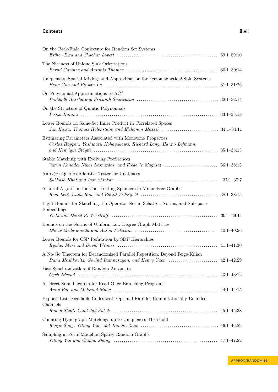#### **Contents 0:vii**

| On the Beck-Fiala Conjecture for Random Set Systems                                                                            |                |
|--------------------------------------------------------------------------------------------------------------------------------|----------------|
| The Niceness of Unique Sink Orientations                                                                                       |                |
| Uniqueness, Spatial Mixing, and Approximation for Ferromagnetic 2-Spin Systems                                                 | $31:1 - 31:26$ |
| On Polynomial Approximations to $AC^0$                                                                                         |                |
| On the Structure of Quintic Polynomials                                                                                        |                |
| Lower Bounds on Same-Set Inner Product in Correlated Spaces                                                                    |                |
| Estimating Parameters Associated with Monotone Properties<br>Carlos Hoppen, Yoshiharu Kohayakawa, Richard Lang, Hanno Lefmann, |                |
| Stable Matching with Evolving Preferences                                                                                      |                |
| An $O(n)$ Queries Adaptive Tester for Unateness                                                                                | $37:1 - 37:7$  |
| A Local Algorithm for Constructing Spanners in Minor-Free Graphs                                                               |                |
| Tight Bounds for Sketching the Operator Norm, Schatten Norms, and Subspace<br>Embeddings                                       |                |
| Bounds on the Norms of Uniform Low Degree Graph Matrices                                                                       |                |
| Lower Bounds for CSP Refutation by SDP Hierarchies                                                                             |                |
| A No-Go Theorem for Derandomized Parallel Repetition: Beyond Feige-Kilian                                                      |                |
| Fast Synchronization of Random Automata                                                                                        |                |
| A Direct-Sum Theorem for Read-Once Branching Programs                                                                          |                |
| Explicit List-Decodable Codes with Optimal Rate for Computationally Bounded<br>Channels                                        |                |
|                                                                                                                                |                |
| Counting Hypergraph Matchings up to Uniqueness Threshold                                                                       |                |
| Sampling in Potts Model on Sparse Random Graphs                                                                                |                |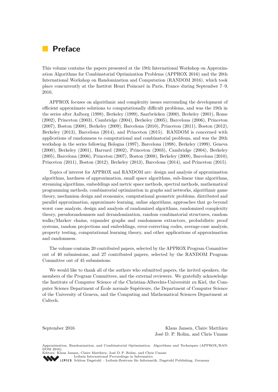# **Preface**

This volume contains the papers presented at the 19th International Workshop on Approximation Algorithms for Combinatorial Optimization Problems (APPROX 2016) and the 20th International Workshop on Randomization and Computation (RANDOM 2016), which took place concurrently at the Institut Henri Poincaré in Paris, France during September 7–9, 2016.

APPROX focuses on algorithmic and complexity issues surrounding the development of efficient approximate solutions to computationally difficult problems, and was the 19th in the series after Aalborg (1998), Berkeley (1999), Saarbrücken (2000), Berkeley (2001), Rome (2002), Princeton (2003), Cambridge (2004), Berkeley (2005), Barcelona (2006), Princeton (2007), Boston (2008), Berkeley (2009), Barcelona (2010), Princeton (2011), Boston (2012), Berkeley (2013), Barcelona (2014), and Princeton (2015). RANDOM is concerned with applications of randomness to computational and combinatorial problems, and was the 20th workshop in the series following Bologna (1997), Barcelona (1998), Berkeley (1999), Geneva (2000), Berkeley (2001), Harvard (2002), Princeton (2003), Cambridge (2004), Berkeley (2005), Barcelona (2006), Princeton (2007), Boston (2008), Berkeley (2009), Barcelona (2010), Princeton (2011), Boston (2012), Berkeley (2013), Barcelona (2014), and Princeton (2015).

Topics of interest for APPROX and RANDOM are: design and analysis of approximation algorithms, hardness of approximation, small space algorithms, sub-linear time algorithms, streaming algorithms, embeddings and metric space methods, spectral methods, mathematical programming methods, combinatorial optimization in graphs and networks, algorithmic game theory, mechanism design and economics, computational geometric problems, distributed and parallel approximation, approximate learning, online algorithms, approaches that go beyond worst case analysis, design and analysis of randomized algorithms, randomized complexity theory, pseudorandomness and derandomization, random combinatorial structures, random walks/Markov chains, expander graphs and randomness extractors, probabilistic proof systems, random projections and embeddings, error-correcting codes, average-case analysis, property testing, computational learning theory, and other applications of approximation and randomness.

The volume contains 20 contributed papers, selected by the APPROX Program Committee out of 40 submissions, and 27 contributed papers, selected by the RANDOM Program Committee out of 45 submissions.

We would like to thank all of the authors who submitted papers, the invited speakers, the members of the Program Committees, and the external reviewers. We gratefully acknowledge the Institute of Computer Science of the Christian-Albrechts-Universität zu Kiel, the Computer Science Department of École normale Supérieure, the Department of Computer Science of the University of Geneva, and the Computing and Mathematical Sciences Department at Caltech.

September 2016 Klaus Jansen, Claire Matthieu José D. P. Rolim, and Chris Umans

Approximation, Randomization, and Combinatorial Optimization. Algorithms and Techniques (APPROX/RAN-DOM 2016)

Editors: Klaus Jansen, Claire Matthieu, José D. P. Rolim, and Chris Umans [Leibniz International Proceedings in Informatics](http://www.dagstuhl.de/en/publications/lipics/) SCHLOS [Schloss Dagstuhl – Leibniz-Zentrum für Informatik, Dagstuhl Publishing, Germany](http://www.dagstuhl.de/en/about-dagstuhl/)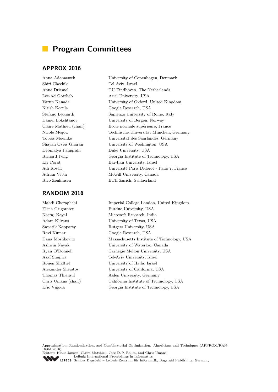# **Program Committees**

### **APPROX 2016**

Shiri Chechik Tel Aviv, Israel Lee-Ad Gottlieb Ariel University, USA Nitish Korula Google Research, USA Debmalya Panigrahi Duke University, USA Rico Zenklusen ETH Zurich, Switzerland

### **RANDOM 2016**

Anna Adamaszek University of Copenhagen, Denmark Anne Driemel TU Eindhoven, The Netherlands Varun Kanade University of Oxford, United Kingdom Stefano Leonardi Sapienza University of Rome, Italy Daniel Lokshtanov University of Bergen, Norway Claire Mathieu (chair) École normale supérieure, France Nicole Megow Technische Universität München, Germany Tobias Moemke Universität des Saarlandes, Germany Shayan Oveis Gharan University of Washington, USA Richard Peng Georgia Institute of Technology, USA Ely Porat Bar-Ilan University, Israel Adi Rosén Université Paris Diderot - Paris 7, France Adrian Vetta McGill University, Canada

Mahdi Cheraghchi Imperial College London, United Kingdom Elena Grigorescu Purdue University, USA Neeraj Kayal Microsoft Research, India Adam Klivans University of Texas, USA Swastik Kopparty Rutgers University, USA Ravi Kumar Google Research, USA Dana Moshkovitz Massachusetts Institute of Technology, USA Ashwin Nayak University of Waterloo, Canada Ryan O'Donnell Carnegie Mellon University, USA Asaf Shapira Tel-Aviv University, Israel Ronen Shaltiel University of Haifa, Israel Alexander Sherstov University of California, USA Thomas Thierauf Aalen University, Germany Chris Umans (chair) California Institute of Technology, USA Eric Vigoda Georgia Institute of Technology, USA

Approximation, Randomization, and Combinatorial Optimization. Algorithms and Techniques (APPROX/RAN- $\overrightarrow{DOM}$  2016).

Editors: Klaus Jansen, Claire Matthieu, José D. P. Rolim, and Chris Umans [Leibniz International Proceedings in Informatics](http://www.dagstuhl.de/en/publications/lipics/)

[Schloss Dagstuhl – Leibniz-Zentrum für Informatik, Dagstuhl Publishing, Germany](http://www.dagstuhl.de/en/about-dagstuhl/)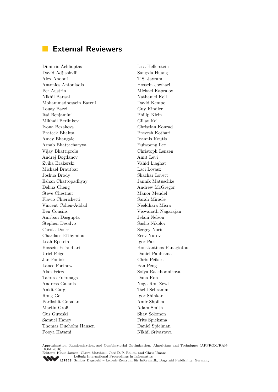# **External Reviewers**

Dimitris Achlioptas David Adjiashvili Alex Andoni Antonios Antoniadis Per Austrin Nikhil Bansal Mohammadhossein Bateni Louay Bazzi Itai Benjamini Mikhail Berlinkov Ivona Bezakova Prateek Bhakta Amey Bhangale Arnab Bhattacharyya Vijay Bhattiprolu Andrej Bogdanov Zvika Brakerski Michael Brautbar Joshua Brody Eshan Chattopadhyay Dehua Cheng Steve Chestnut Flavio Chierichetti Vincent Cohen-Addad Ben Cousins Anirban Dasgupta Stephen Desalvo Carola Doerr Charilaos Efthymiou Leah Epstein Hossein Esfandiari Uriel Feige Jan Foniok Lance Fortnow Alan Frieze Takuro Fukunaga Andreas Galanis Ankit Garg Rong Ge Parikshit Gopalan Martin Groß Gus Gutoski Samuel Haney Thomas Dueholm Hansen Pooya Hatami

Lisa Hellerstein Sangxia Huang T.S. Jayram Hossein Jowhari Michael Kapralov Nathaniel Kell David Kempe Guy Kindler Philip Klein Gillat Kol Christian Konrad Pravesh Kothari Ioannis Koutis Euiwoong Lee Christoph Lenzen Amit Levi Vahid Liaghat Laci Lovasz Shachar Lovett Jannik Matuschke Andrew McGregor Manor Mendel Sarah Miracle Neeldhara Misra Viswanath Nagarajan Jelani Nelson Sasho Nikolov Sergey Norin Zeev Nutov Igor Pak Konstantinos Panagiotou Daniel Paulusma Chris Peikert Pan Peng Sofya Raskhodnikova Dana Ron Noga Ron-Zewi Tselil Schramm Igor Shinkar Amir Shpilka Adam Smith Shay Solomon Frits Spieksma Daniel Spielman Nikhil Srivastava

Approximation, Randomization, and Combinatorial Optimization. Algorithms and Techniques (APPROX/RAN- $\overrightarrow{DOM}$  2016).

Editors: Klaus Jansen, Claire Matthieu, José D. P. Rolim, and Chris Umans [Leibniz International Proceedings in Informatics](http://www.dagstuhl.de/en/publications/lipics/)

Leibniz International Proceedings in miorinatios<br>LIPICS [Schloss Dagstuhl – Leibniz-Zentrum für Informatik, Dagstuhl Publishing, Germany](http://www.dagstuhl.de/en/about-dagstuhl/)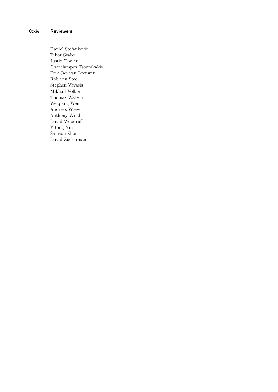Daniel Stefankovic Tibor Szabo Justin Thaler Charalampos Tsourakakis Erik Jan van Leeuwen Rob van Stee Stephen Vavasis Mikhail Volkov Thomas Watson Weiqiang Wen Andreas Wiese Anthony Wirth David Woodruff Yitong Yin Samson Zhou David Zuckerman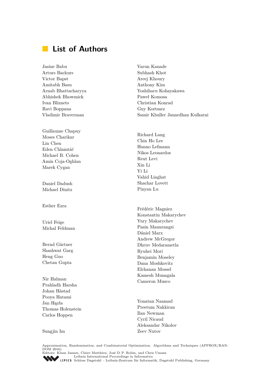#### **List of Authors**  $\mathcal{L}^{\text{max}}$

Jasine Babu Arturs Backurs Victor Bapst Amitabh Basu Arnab Bhattacharyya Abhishek Bhowmick Ivan Bliznets Ravi Boppana Vladimir Braverman

Guillaume Chapuy Moses Charikar Lin Chen Eden Chlamtáč Michael B. Cohen Amin Coja-Oghlan Marek Cygan

Daniel Dadush Michael Dinitz

Esther Ezra

Uriel Feige Michal Feldman

Bernd Gärtner Shashwat Garg Heng Guo Chetan Gupta

Nir Halman Prahladh Harsha Johan Håstad Pooya Hatami Jan Hązła Thomas Holenstein Carlos Hoppen

Varun Kanade Subhash Khot Areej Khoury Anthony Kim Yoshiharu Kohayakawa Paweł Komosa Christian Konrad Guy Kortsarz Samir Khuller Janardhan Kulkarni

Richard Lang Chin Ho Lee Hanno Lefmann Nikos Leonardos Reut Levi Xin Li Yi Li Vahid Liaghat Shachar Lovett Pinyan Lu

Frédéric Magniez Konstantin Makarychev Yury Makarychev Pasin Manurangsi Dániel Marx Andrew McGregor Dhruv Medarametla Ryuhei Mori Benjamin Moseley Dana Moshkovitz Elchanan Mossel Kamesh Munagala Cameron Musco

Yonatan Naamad Preetum Nakkiran Ilan Newman Cyril Nicaud Aleksandar Nikolov Zeev Nutov

Sungjin Im

Approximation, Randomization, and Combinatorial Optimization. Algorithms and Techniques (APPROX/RAN- $\overrightarrow{DOM}$  2016). Editors: Klaus Jansen, Claire Matthieu, José D. P. Rolim, and Chris Umans

[Leibniz International Proceedings in Informatics](http://www.dagstuhl.de/en/publications/lipics/) [Schloss Dagstuhl – Leibniz-Zentrum für Informatik, Dagstuhl Publishing, Germany](http://www.dagstuhl.de/en/about-dagstuhl/)